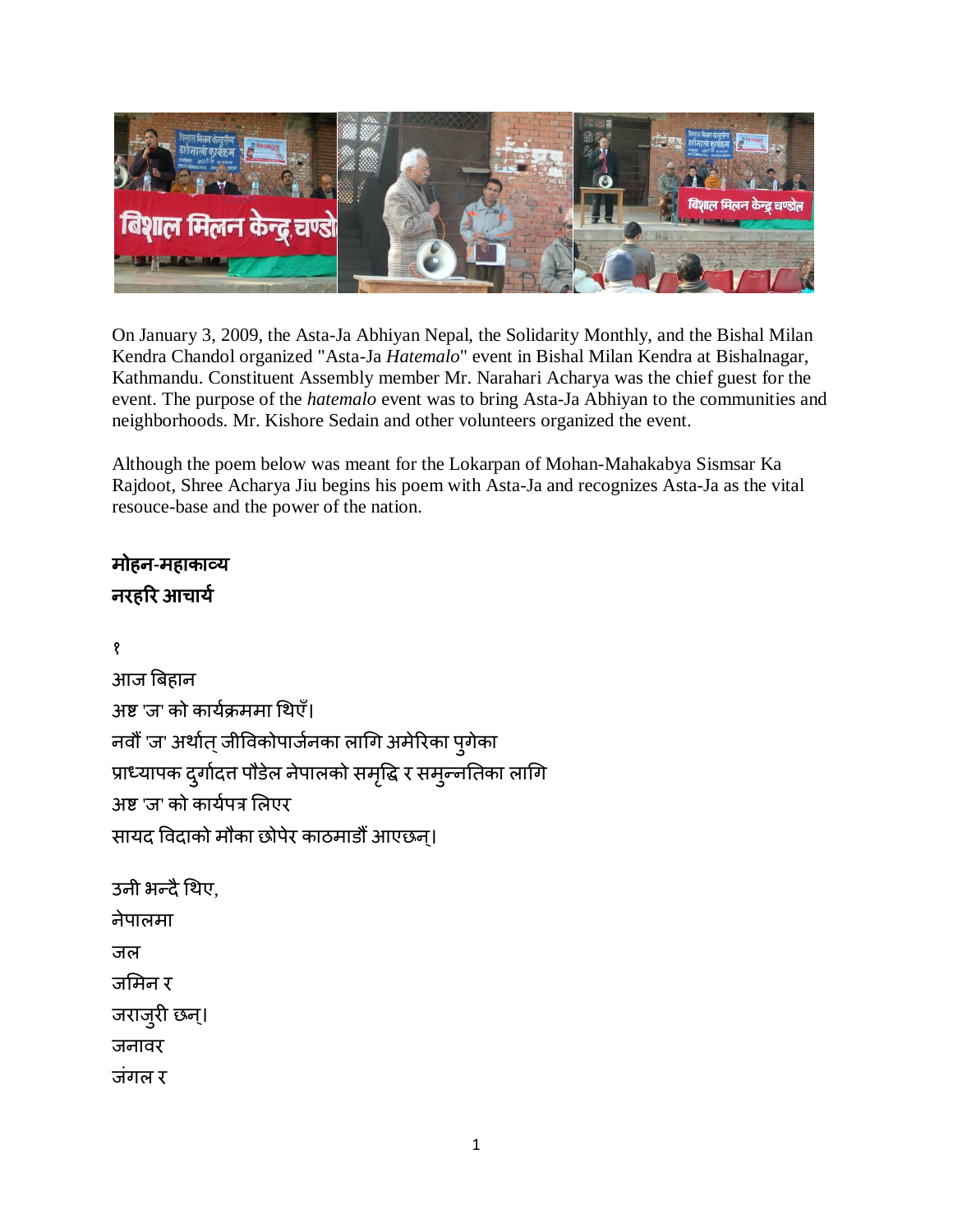

On January 3, 2009, the Asta-Ja Abhiyan Nepal, the Solidarity Monthly, and the Bishal Milan Kendra Chandol organized "Asta-Ja *Hatemalo*" event in Bishal Milan Kendra at Bishalnagar, Kathmandu. Constituent Assembly member Mr. Narahari Acharya was the chief guest for the event. The purpose of the *hatemalo* event was to bring Asta-Ja Abhiyan to the communities and neighborhoods. Mr. Kishore Sedain and other volunteers organized the event.

Although the poem below was meant for the Lokarpan of Mohan-Mahakabya Sismsar Ka Rajdoot, Shree Acharya Jiu begins his poem with Asta-Ja and recognizes Asta-Ja as the vital resouce-base and the power of the nation.

## **मोहन-महाका**व्य नरहरि आचार्य

१

आज बिहान अष्ट 'ज' को कार्यक्रममा थिएँ। नवौं 'ज' अर्थात् जीविकोपार्जनका लागि अमेरिका पुगेका प्राध्यापक दुर्गादत्त पौडेल नेपालको समृद्धि र समुन्नतिका लागि अष्ट 'ज' को कार्यपत्र लिएर सायद विदाको मौका छोपेर काठमाडौँ आएछन्।

उनी भन्दै थिए, नेपालमा जल जमिन र जराजुरी छन्। जनावर जंगल र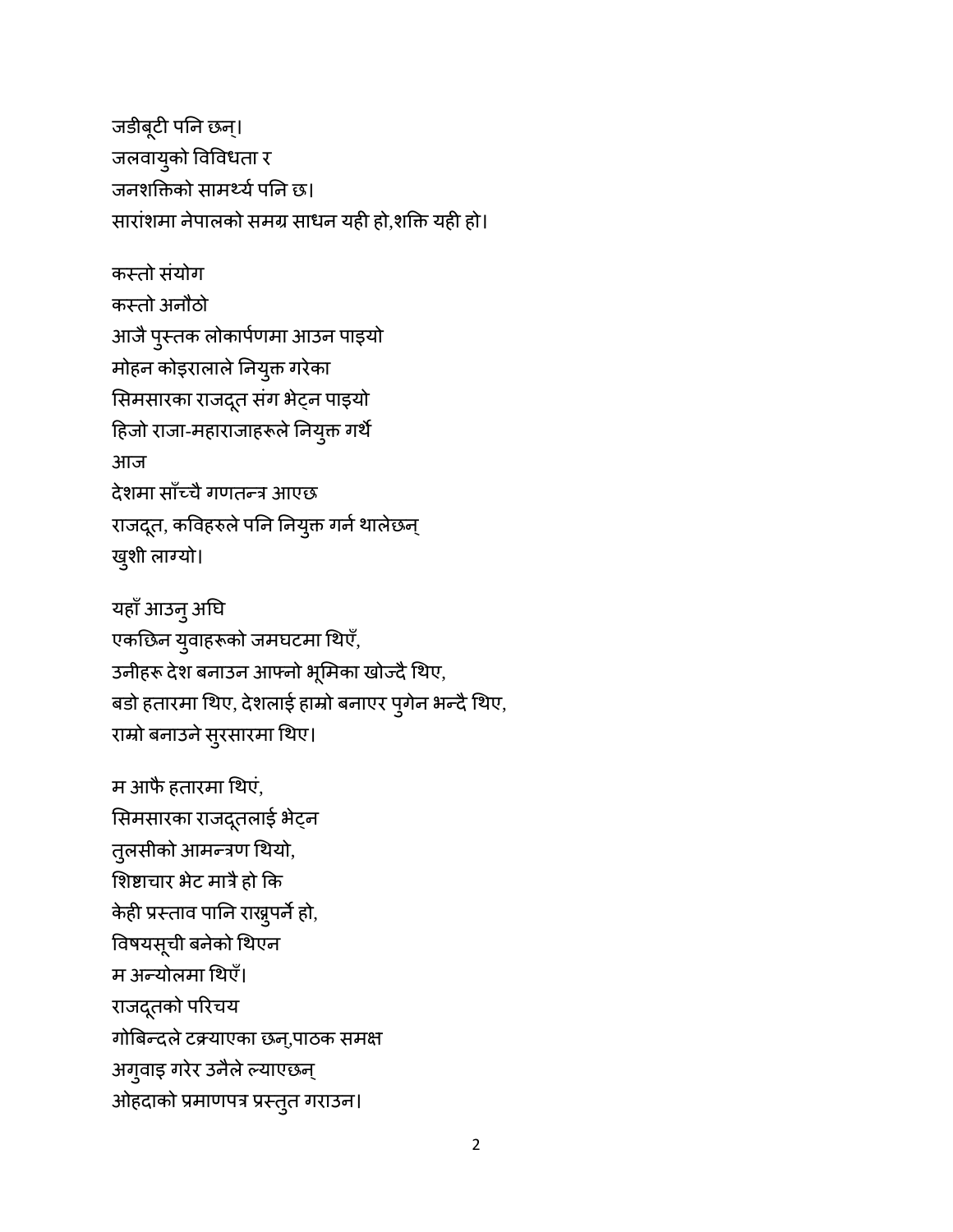जडीबूटी पनि छन्। जलवायुको विविधता र जनशक्तिको सामर्थ्य पनि छ। सारांशमा नेपालको समग्र साधन यही हो,शक्ति यही हो।

कस्तो संयोग कस्तो अनौठो आजै पुस्तक लोकार्पणमा आउन पाइयो मोहन कोइरालाले नियुक्त गरेका सिमसारका राजदूत संग भेट्न पाइयो हिजो राजा-महाराजाहरूले नियुक्त गर्थे ज देशमा साँच्चै गणतन्त्र आएछ राजदूत, कविहरुले पनि नियुक्त गर्न थालेछन् खुशी लाग्यो।

यहाँ आउनु अघि एकछिन युवाहरूको जमघटमा थिएँ, उनीहरू देश बनाउन आफ्नो भूमिका खोज्दै थिए, बडो हतारमा थिए, देशलाई हाम्रो बनाएर पुगेन भन्दै थिए, राम्रो बनाउने सुरसारमा थिए।

म आफै हतारमा थिएं, सिमसारका राजदूतलाई भेट्न तुलसीको आमन्त्रण थियो, शिष्टाचार भेट मात्रै हो कि केही प्रस्ताव पानि राख़ूपर्ने हो, विषयसूची बनेको थिएन म अन्योलमा थिएँ। राजदूतको परिचय गोबिन्दले टक्र्याएका छन्,पाठक समक्ष अगुवाइ गरेर उनैले ल्याएछन् ओहदाको प्रमाणपत्र प्रस्तुत गराउन।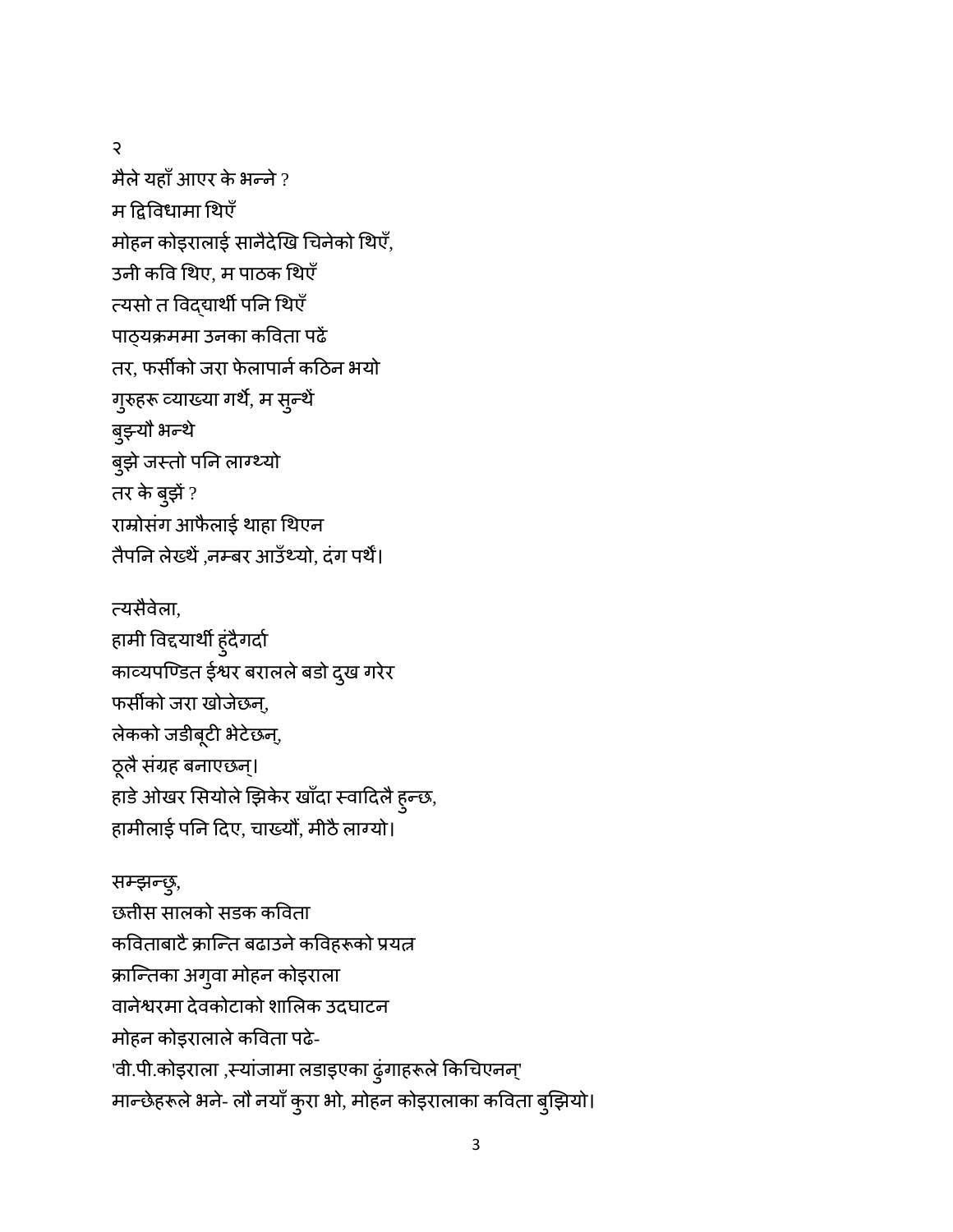$\mathcal{S}$ 

मैले यहाँ आएर के भन्ने ? म द्विविधामा थिएँ मोहन कोइरालाई सानैदेखि चिनेको थिएँ, उनी कवि थिए. म पाठक थिएँ त्यसो त विद्**यार्थी पनि थिएँ** पाठ्यक्रममा उनका कविता पढें तर. फर्सीको जरा फेलापार्न कठिन भयो गुरुहरू व्याख्या गर्थे, म सुन्थें बुझ्यौ भन्थे बुझे जस्तो पनि लाग्थ्यो तर के बुझें ? राम्रोसंग आफैलाई थाहा थिएन तैपनि लेख्थें .नम्बर आउँथ्यो. दंग पर्थे।

त्यसैवेला. हामी विद्दयार्थी हुंदैगर्दा काव्यपण्डित ईश्वर बरालले बडो दुख गरेर फर्सीको जरा खोजेछन्, लेकको जडीबूटी भेटेछन्, ठूलै संग्रह बनाएछन्। हाडे ओखर सियोले झिकेर खाँदा स्वादिलै ह्न्छ, हामीलाई पनि दिए, चाख्यौं, मीठै लाग्यो।

सम्झन्छु,

छत्तीस सालको सडक कविता कविताबाटै क्रान्ति बढाउने कविहरूको प्रयत्न क्रान्तिका अगुवा मोहन कोइराला वानेश्वरमा देवकोटाको शालिक उदघाटन मोहन कोइरालाले कविता पढे-'वी.पी.कोइराला ,स्यांजामा लडाइएका ढुंगाहरूले किचिएनन्' मान्छेहरूले भने- लौ नयाँ कुरा भो, मोहन कोइरालाका कविता बुझियो।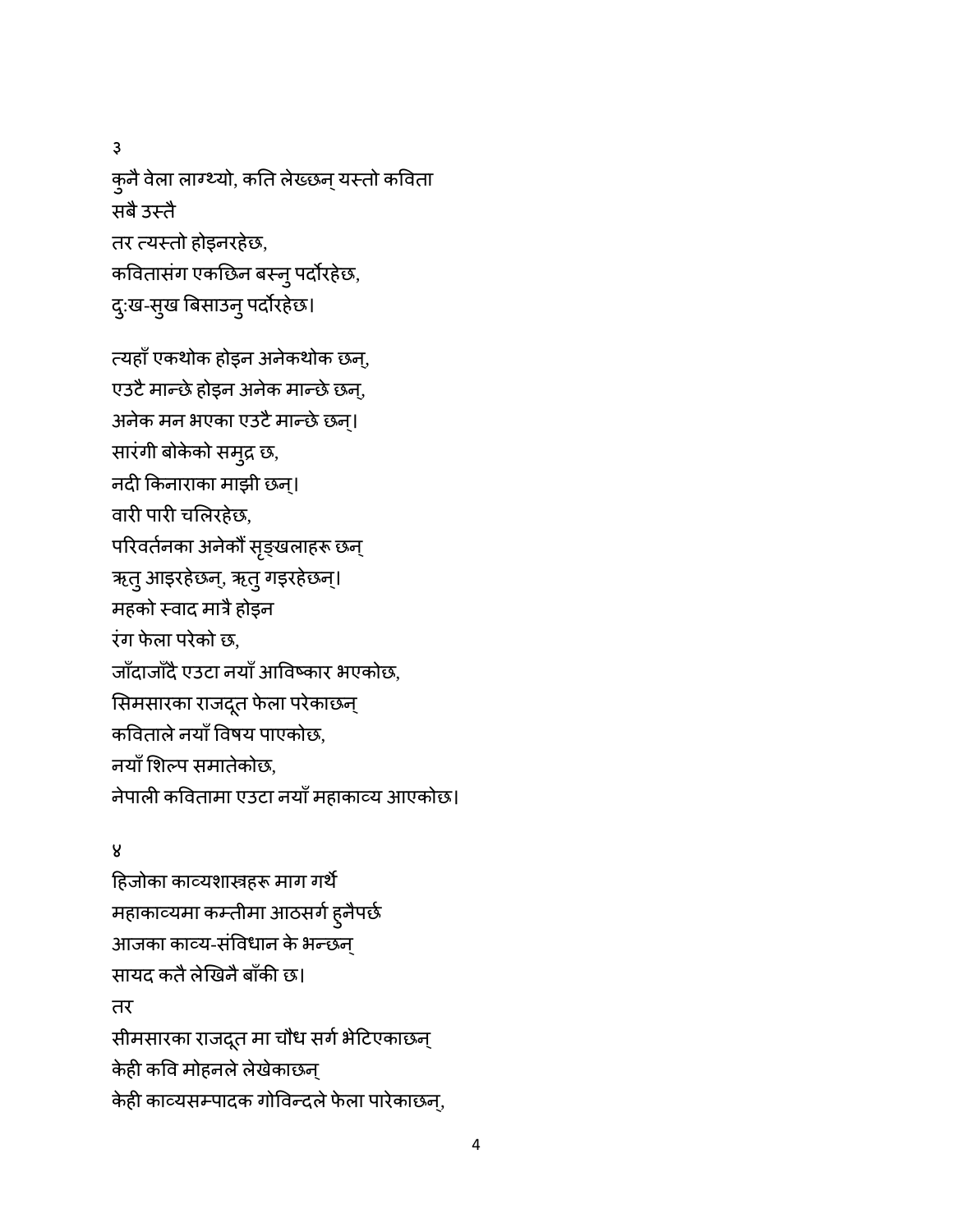३

कुनै वेला लाग्थ्यो, कति लेख्छन् यस्तो कविता सबै उस्तै तर त्यस्तो होइनरहेछ, कवितासंग एकछिन बस्नु पर्दोरहेछ, दुःख-सुख बिसाउनु पर्दोरहेछ।

त्यहाँ एकथोक होइन अनेकथोक छन्, एउटै मान्छे होइन अनेक मान्छे छन्, अनेक मन भएका एउटै मान्छे छन।

परिवर्तनका अनेकौं सृङ्खलाहरू छन्

जाँदाजाँदै एउटा नयाँ आविष्कार भएकोछ,

नेपाली कवितामा एउटा नयाँ महाकाव्य आएकोछ।

सिमसारका राजदूत फेला परेकाछन्

कविताले नयाँ विषय पाएकोछ.

हिजोका काव्यशास्त्रहरू माग गर्थ

महाकाव्यमा कम्तीमा आठसर्ग हुनैपर्छ

आजका काव्य-संविधान के भन्छन्

नयाँ शिल्प समातेकोछ.

ऋतु आइरहेछन्, ऋतु गइरहेछन्।

सारंगी बोकेको समुद्र छ,

वारी पारी चलिरहेछ,

महको स्वाद मात्रै होइन

रंग फेला परेको छ.

नदी किनाराका माझी छन्।

सायद कतै लेखिनै बाँकी छ।

तर

४

सीमसारका राजदूत मा चौध सर्ग भेटिएकाछन्

केही कवि मोहनले लेखेकाछन

केही काव्यसम्पादक गोविन्दले फेला पारेकाछन्,

4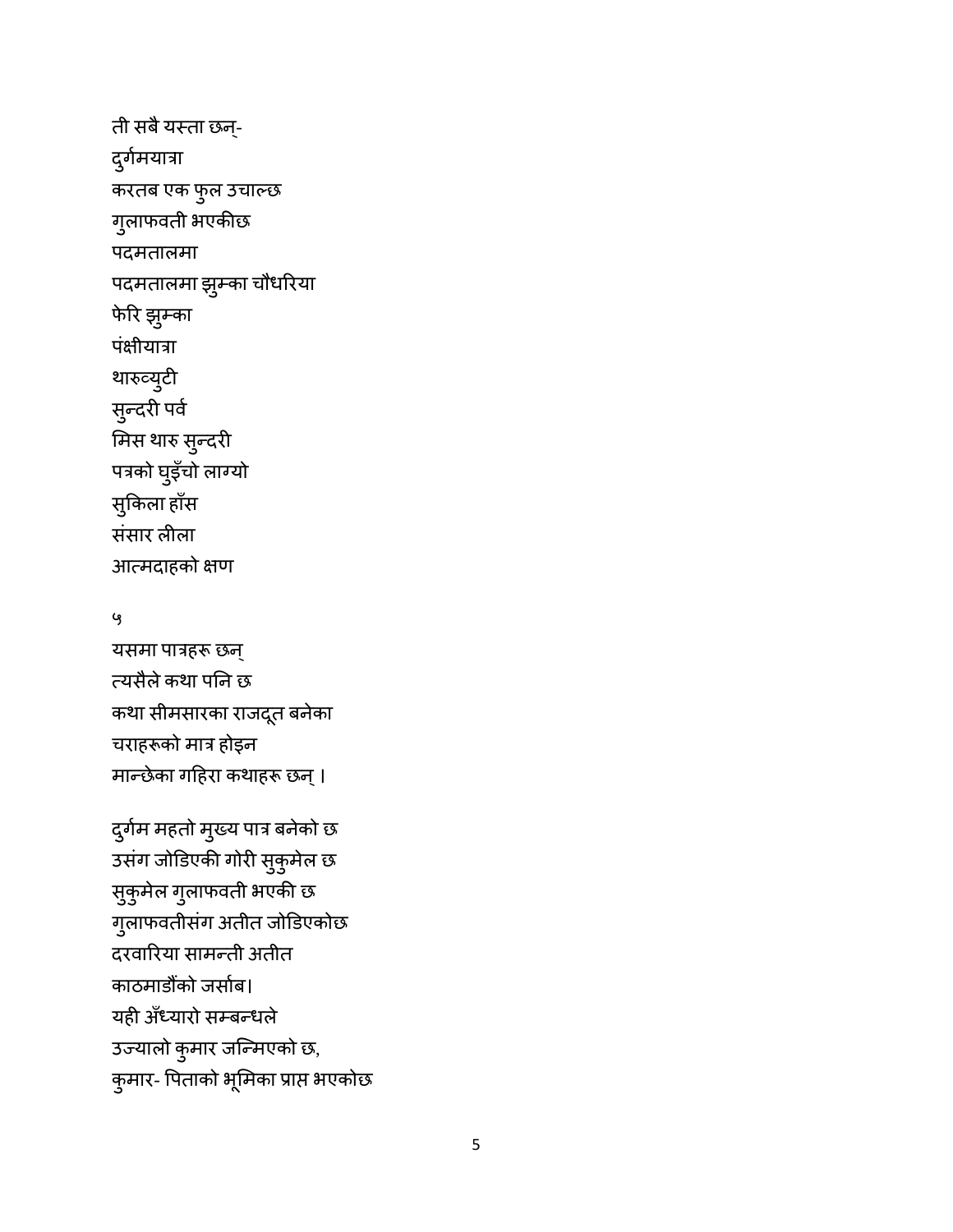ती सबै यस्ता छन्-दुर्गमयात्रा करतब एक फुल उचाल्छ गुलाफवती भएकीछ पदमतालमा पदमतालमा झुम्का चौधरिया फेरि झुम्का पंक्षीयात्रा थारुव्यूटी सुन्दरी पर्व मिस थारु सुन्दरी पत्रको घुइँचो लाग्यो सुकिला हाँस संसार लीला आत्मदाहको क्षण

## ٷ

यसमा पात्रहरू छन् त्यसैले कथा पनि छ कथा सीमसारका राजदूत बनेका चराहरूको मात्र होइन मान्छेका गहिरा कथाहरू छन् ।

दुर्गम महतो मुख्य पात्र बनेको छ -<br>उसंग जोडिएकी गोरी सुकुमेल छ सुकुमेल गुलाफवती भएकी छ गुलाफवतीसंग अतीत जोडिएकोछ दरवारिया सामन्ती अतीत काठमाडौंको जर्साब। यही अँध्यारो सम्बन्धले उज्यालो कुमार जन्मिएको छ, कुमार- पिताको भूमिका प्राप्त भएकोछ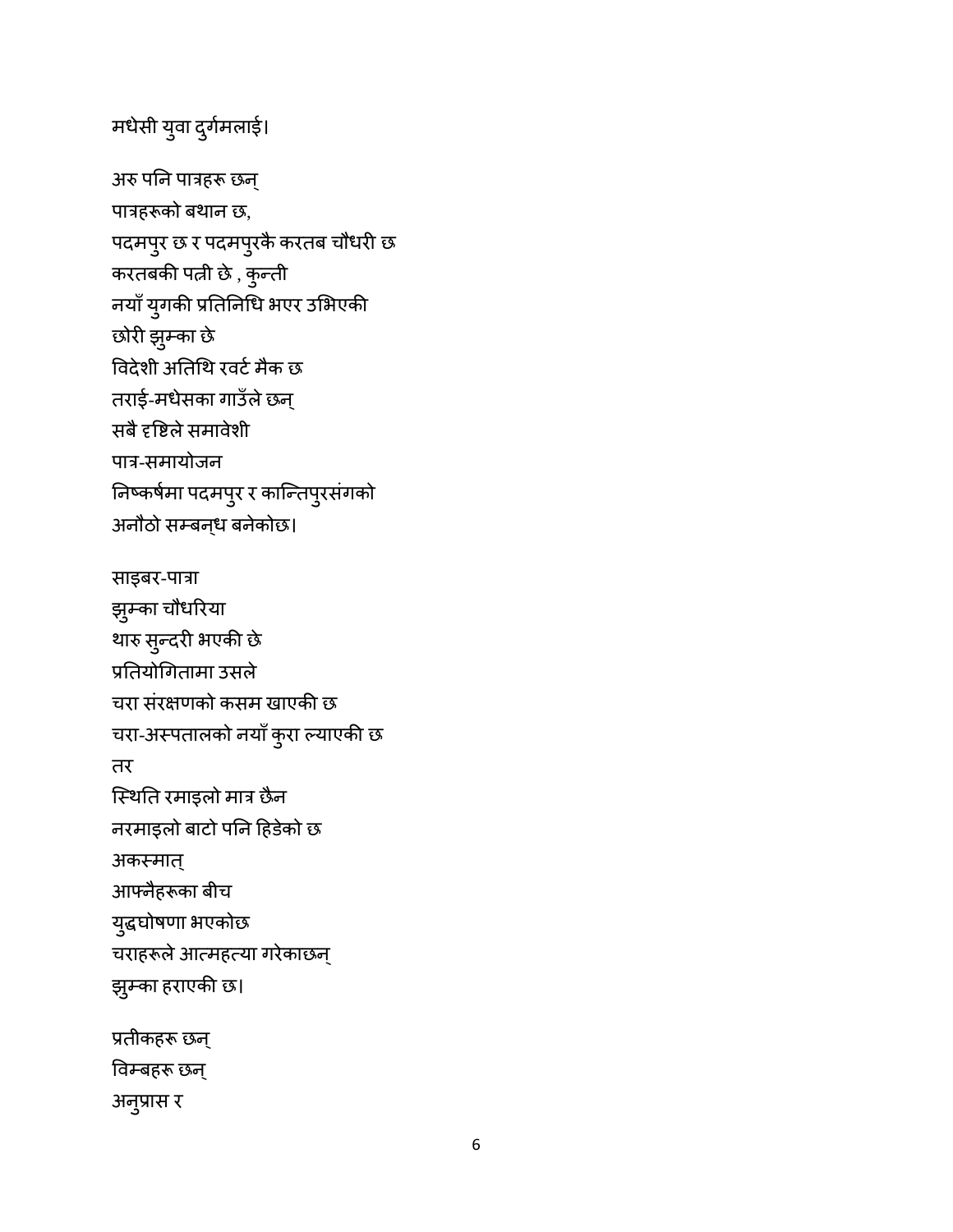## मधेसी युवा दुर्गमलाई।

अरु पनि पात्रहरू छन् पात्रहरूको बथान छ, पदमपुर छ र पदमपुरकै करतब चौधरी छ करतबकी पत्नी छे , कुन्ती नयाँ युगकी प्रतिनिधि भएर उभिएकी छोरी झुम्का छे विदेशी अतिथि रवर्ट मैक छ तराई-मधैसका गाउँले छन् सबै दृष्टिले समावेशी पात्र-समायोजन निष्कर्षमा पदमपुर र कान्तिपुरसंगको अनौठो सम्बन्ध बनेकोछ।

साइबर-पात्रा झुम्का चौधरिया थारु सु<mark>न्दरी भएकी छे</mark> प्रतियोगितामा उसले चरा संरक्षणको कसम खाएकी छ चरा-अस्पतालको नयाँ कुरा ल्याएकी छ तर स्थिति रमाइलो मात्र छैन नरमाइलो बाटो पनि हिडेको छ अकस्मात् आफ्नैहरूका बीच युद्धघोषणा भएकोछ चराहरूले आत्महत्या गरेकाछन् झुम्का हराएकी छ। प्रतीकहरू छन् विम्बहरू छन्

अनुप्रास र

 $6\phantom{1}6$